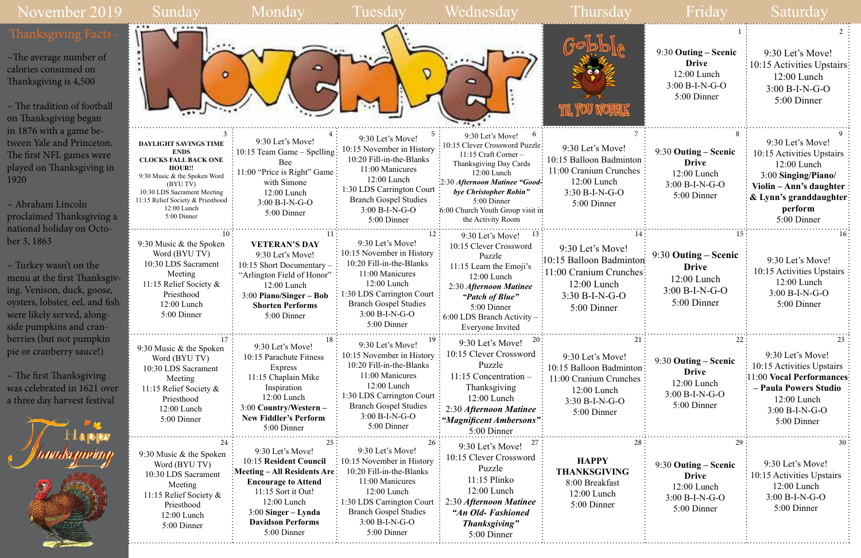## November 2019



|                   | 9:30 Outing – Scenic<br><b>Drive</b><br>12:00 Lunch<br>$3:00 B-I-N-G-O$<br>5:00 Dinner         | 9:30 Let's Move!<br>10:15 Activities Upstairs<br>$12:00$ Lunch<br>$3:00 B-I-N-G-O$<br>5:00 Dinner                                                                       |
|-------------------|------------------------------------------------------------------------------------------------|-------------------------------------------------------------------------------------------------------------------------------------------------------------------------|
| 7<br>ton<br>les   | 8<br>9:30 Outing – Scenic<br><b>Drive</b><br>12:00 Lunch<br>3:00 B-I-N-G-O<br>5:00 Dinner<br>. | 9<br>9:30 Let's Move!<br>10:15 Activities Upstairs<br>12:00 Lunch<br>3:00 Singing/Piano/<br>Violin - Ann's daughter<br>& Lynn's granddaughter<br>perform<br>5:00 Dinner |
| 14<br>ton:<br>hes | 15<br>9:30 Outing – Scenic<br><b>Drive</b><br>12:00 Lunch<br>$3:00 B-I-N-G-O$<br>5:00 Dinner   | 16<br>9:30 Let's Move!<br>10:15 Activities Upstairs<br>12:00 Lunch<br>3:00 B-I-N-G-O<br>5:00 Dinner                                                                     |
| 21<br>ton<br>ies  | 22<br>9:30 Outing – Scenic<br><b>Drive</b><br>12:00 Lunch<br>$3:00 B-I-N-G-O$<br>5:00 Dinner   | 23<br>9:30 Let's Move!<br>10:15 Activities Upstairs<br>11:00 Vocal Performances<br>- Paula Powers Studio<br>12:00 Lunch<br>$3:00 B-I-N-G-O$<br>5:00 Dinner              |
| 28                | 29<br>9:30 Outing – Scenic<br><b>Drive</b><br>$12:00$ Lunch<br>3:00 B-I-N-G-O<br>5:00 Dinner   | 30<br>9:30 Let's Move!<br>10:15 Activities Upstairs<br>$12:00$ Lunch<br>$3:00 B-I-N-G-O$<br>5:00 Dinner                                                                 |

 $\sim$  The tradition of football on Thanksgiving began in 1876 with a game between Yale and Princeton. The first NFL games were played on Thanksgiving in 1920

 $\sim$  The first Thanksgiving was celebrated in 1621 over a three day harvest festival



~The average number of calories consumed on Thanksgiving is 4,500

~ Abraham Lincoln proclaimed Thanksgiving a national holiday on October 3, 1863

~ Turkey wasn't on the menu at the first Thanksgiving. Venison, duck, goose, oysters, lobster, eel, and fish were likely served, alongside pumpkins and cranberries (but not pumpkin pie or cranberry sauce!)